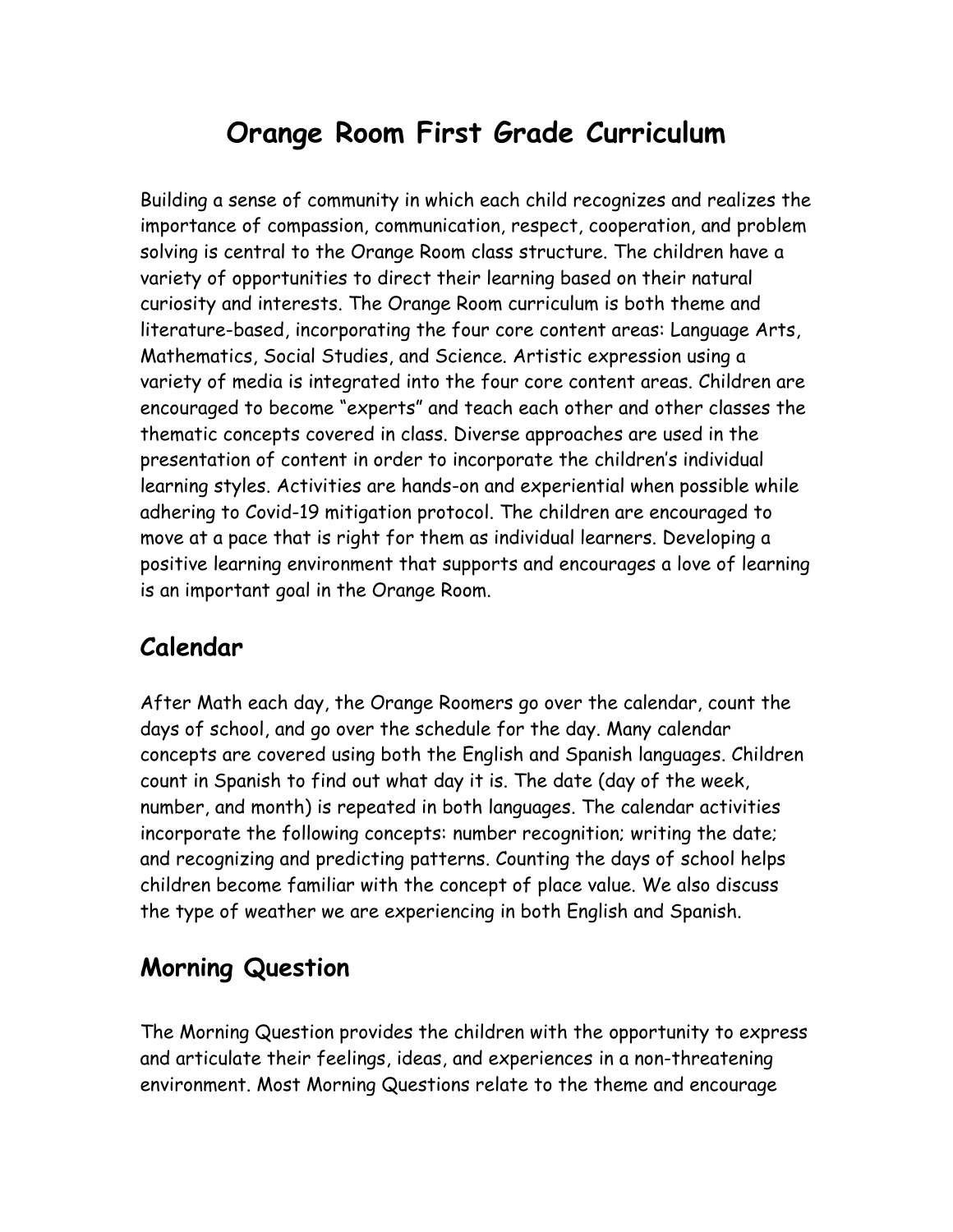# **Orange Room First Grade Curriculum**

Building a sense of community in which each child recognizes and realizes the importance of compassion, communication, respect, cooperation, and problem solving is central to the Orange Room class structure. The children have a variety of opportunities to direct their learning based on their natural curiosity and interests. The Orange Room curriculum is both theme and literature-based, incorporating the four core content areas: Language Arts, Mathematics, Social Studies, and Science. Artistic expression using a variety of media is integrated into the four core content areas. Children are encouraged to become "experts" and teach each other and other classes the thematic concepts covered in class. Diverse approaches are used in the presentation of content in order to incorporate the children's individual learning styles. Activities are hands-on and experiential when possible while adhering to Covid-19 mitigation protocol. The children are encouraged to move at a pace that is right for them as individual learners. Developing a positive learning environment that supports and encourages a love of learning is an important goal in the Orange Room.

### **Calendar**

After Math each day, the Orange Roomers go over the calendar, count the days of school, and go over the schedule for the day. Many calendar concepts are covered using both the English and Spanish languages. Children count in Spanish to find out what day it is. The date (day of the week, number, and month) is repeated in both languages. The calendar activities incorporate the following concepts: number recognition; writing the date; and recognizing and predicting patterns. Counting the days of school helps children become familiar with the concept of place value. We also discuss the type of weather we are experiencing in both English and Spanish.

## **Morning Question**

The Morning Question provides the children with the opportunity to express and articulate their feelings, ideas, and experiences in a non-threatening environment. Most Morning Questions relate to the theme and encourage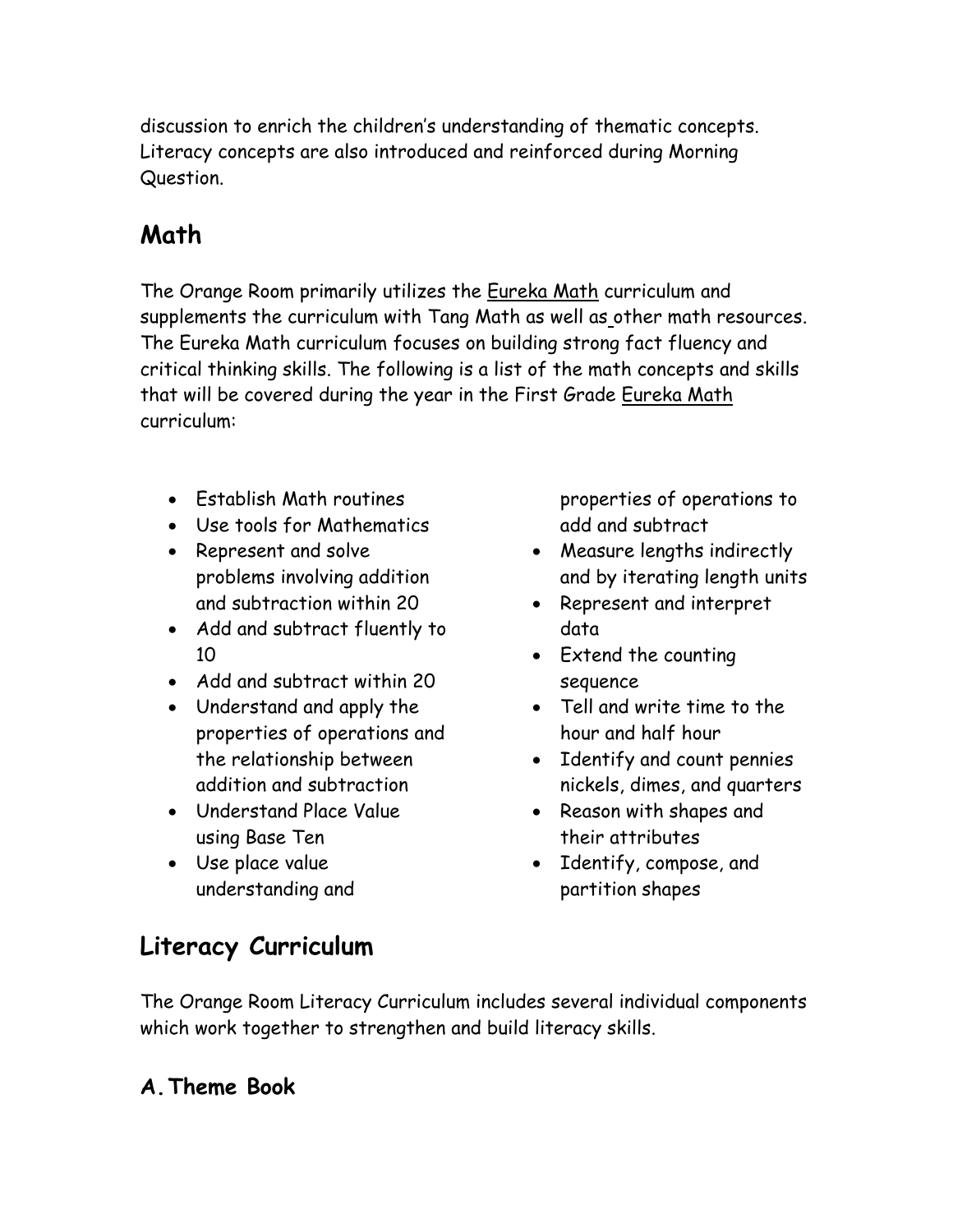discussion to enrich the children's understanding of thematic concepts. Literacy concepts are also introduced and reinforced during Morning Question.

# **Math**

The Orange Room primarily utilizes the Eureka Math curriculum and supplements the curriculum with Tang Math as well as other math resources. The Eureka Math curriculum focuses on building strong fact fluency and critical thinking skills. The following is a list of the math concepts and skills that will be covered during the year in the First Grade Eureka Math curriculum:

- Establish Math routines
- Use tools for Mathematics
- Represent and solve problems involving addition and subtraction within 20
- Add and subtract fluently to 10
- Add and subtract within 20
- Understand and apply the properties of operations and the relationship between addition and subtraction
- Understand Place Value using Base Ten
- Use place value understanding and

properties of operations to add and subtract

- Measure lengths indirectly and by iterating length units
- Represent and interpret data
- Extend the counting sequence
- Tell and write time to the hour and half hour
- Identify and count pennies nickels, dimes, and quarters
- Reason with shapes and their attributes
- Identify, compose, and partition shapes

## **Literacy Curriculum**

The Orange Room Literacy Curriculum includes several individual components which work together to strengthen and build literacy skills.

### **A.Theme Book**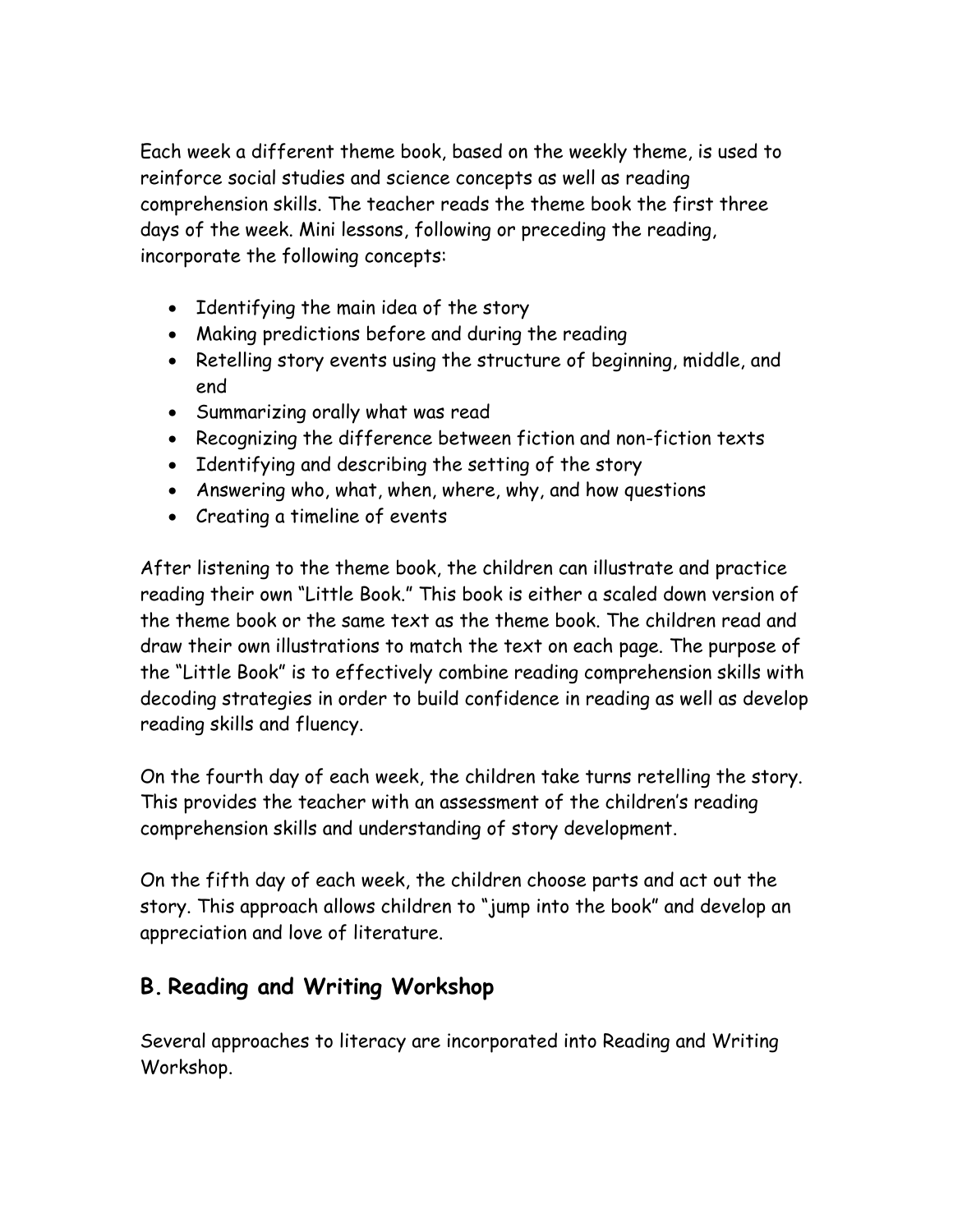Each week a different theme book, based on the weekly theme, is used to reinforce social studies and science concepts as well as reading comprehension skills. The teacher reads the theme book the first three days of the week. Mini lessons, following or preceding the reading, incorporate the following concepts:

- Identifying the main idea of the story
- Making predictions before and during the reading
- Retelling story events using the structure of beginning, middle, and end
- Summarizing orally what was read
- Recognizing the difference between fiction and non-fiction texts
- Identifying and describing the setting of the story
- Answering who, what, when, where, why, and how questions
- Creating a timeline of events

After listening to the theme book, the children can illustrate and practice reading their own "Little Book." This book is either a scaled down version of the theme book or the same text as the theme book. The children read and draw their own illustrations to match the text on each page. The purpose of the "Little Book" is to effectively combine reading comprehension skills with decoding strategies in order to build confidence in reading as well as develop reading skills and fluency.

On the fourth day of each week, the children take turns retelling the story. This provides the teacher with an assessment of the children's reading comprehension skills and understanding of story development.

On the fifth day of each week, the children choose parts and act out the story. This approach allows children to "jump into the book" and develop an appreciation and love of literature.

### **B. Reading and Writing Workshop**

Several approaches to literacy are incorporated into Reading and Writing Workshop.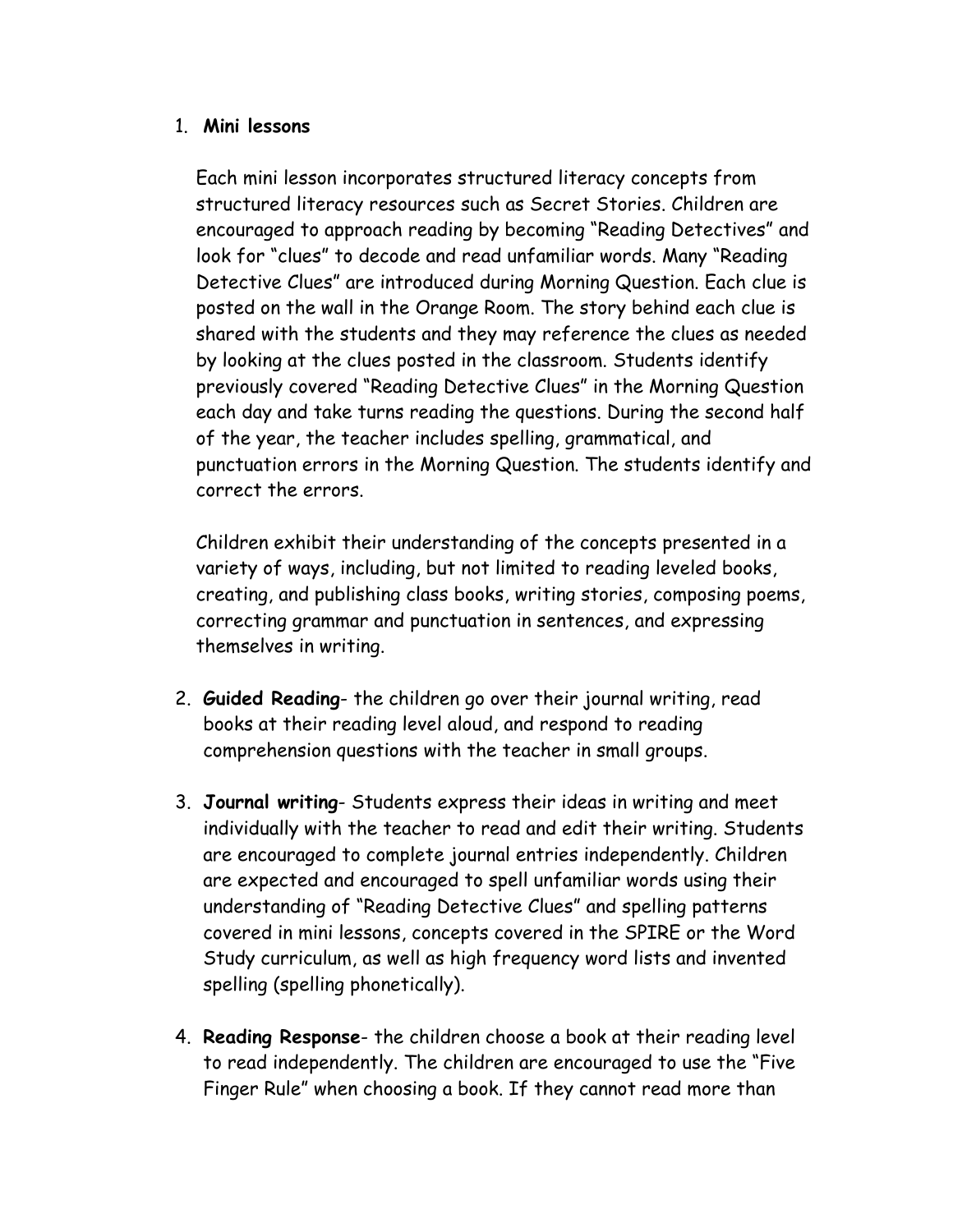### 1. **Mini lessons**

Each mini lesson incorporates structured literacy concepts from structured literacy resources such as Secret Stories. Children are encouraged to approach reading by becoming "Reading Detectives" and look for "clues" to decode and read unfamiliar words. Many "Reading Detective Clues" are introduced during Morning Question. Each clue is posted on the wall in the Orange Room. The story behind each clue is shared with the students and they may reference the clues as needed by looking at the clues posted in the classroom. Students identify previously covered "Reading Detective Clues" in the Morning Question each day and take turns reading the questions. During the second half of the year, the teacher includes spelling, grammatical, and punctuation errors in the Morning Question. The students identify and correct the errors.

Children exhibit their understanding of the concepts presented in a variety of ways, including, but not limited to reading leveled books, creating, and publishing class books, writing stories, composing poems, correcting grammar and punctuation in sentences, and expressing themselves in writing.

- 2. **Guided Reading** the children go over their journal writing, read books at their reading level aloud, and respond to reading comprehension questions with the teacher in small groups.
- 3. **Journal writing** Students express their ideas in writing and meet individually with the teacher to read and edit their writing. Students are encouraged to complete journal entries independently. Children are expected and encouraged to spell unfamiliar words using their understanding of "Reading Detective Clues" and spelling patterns covered in mini lessons, concepts covered in the SPIRE or the Word Study curriculum, as well as high frequency word lists and invented spelling (spelling phonetically).
- 4. **Reading Response** the children choose a book at their reading level to read independently. The children are encouraged to use the "Five Finger Rule" when choosing a book. If they cannot read more than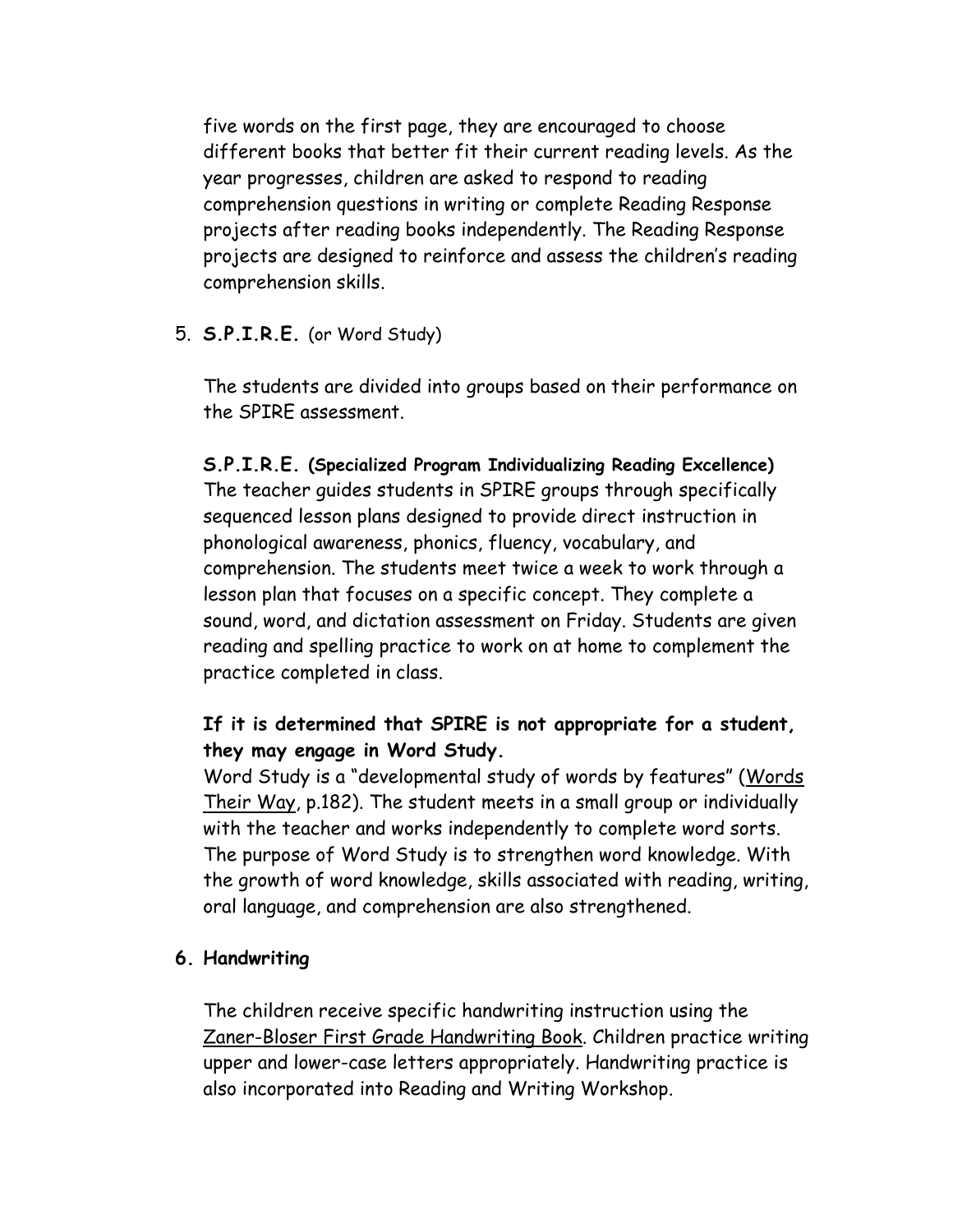five words on the first page, they are encouraged to choose different books that better fit their current reading levels. As the year progresses, children are asked to respond to reading comprehension questions in writing or complete Reading Response projects after reading books independently. The Reading Response projects are designed to reinforce and assess the children's reading comprehension skills.

#### 5. **S.P.I.R.E.** (or Word Study)

The students are divided into groups based on their performance on the SPIRE assessment.

#### **S.P.I.R.E. (Specialized Program Individualizing Reading Excellence)**

The teacher guides students in SPIRE groups through specifically sequenced lesson plans designed to provide direct instruction in phonological awareness, phonics, fluency, vocabulary, and comprehension. The students meet twice a week to work through a lesson plan that focuses on a specific concept. They complete a sound, word, and dictation assessment on Friday. Students are given reading and spelling practice to work on at home to complement the practice completed in class.

### **If it is determined that SPIRE is not appropriate for a student, they may engage in Word Study.**

Word Study is a "developmental study of words by features" (Words Their Way, p.182). The student meets in a small group or individually with the teacher and works independently to complete word sorts. The purpose of Word Study is to strengthen word knowledge. With the growth of word knowledge, skills associated with reading, writing, oral language, and comprehension are also strengthened.

#### **6. Handwriting**

The children receive specific handwriting instruction using the Zaner-Bloser First Grade Handwriting Book. Children practice writing upper and lower-case letters appropriately. Handwriting practice is also incorporated into Reading and Writing Workshop.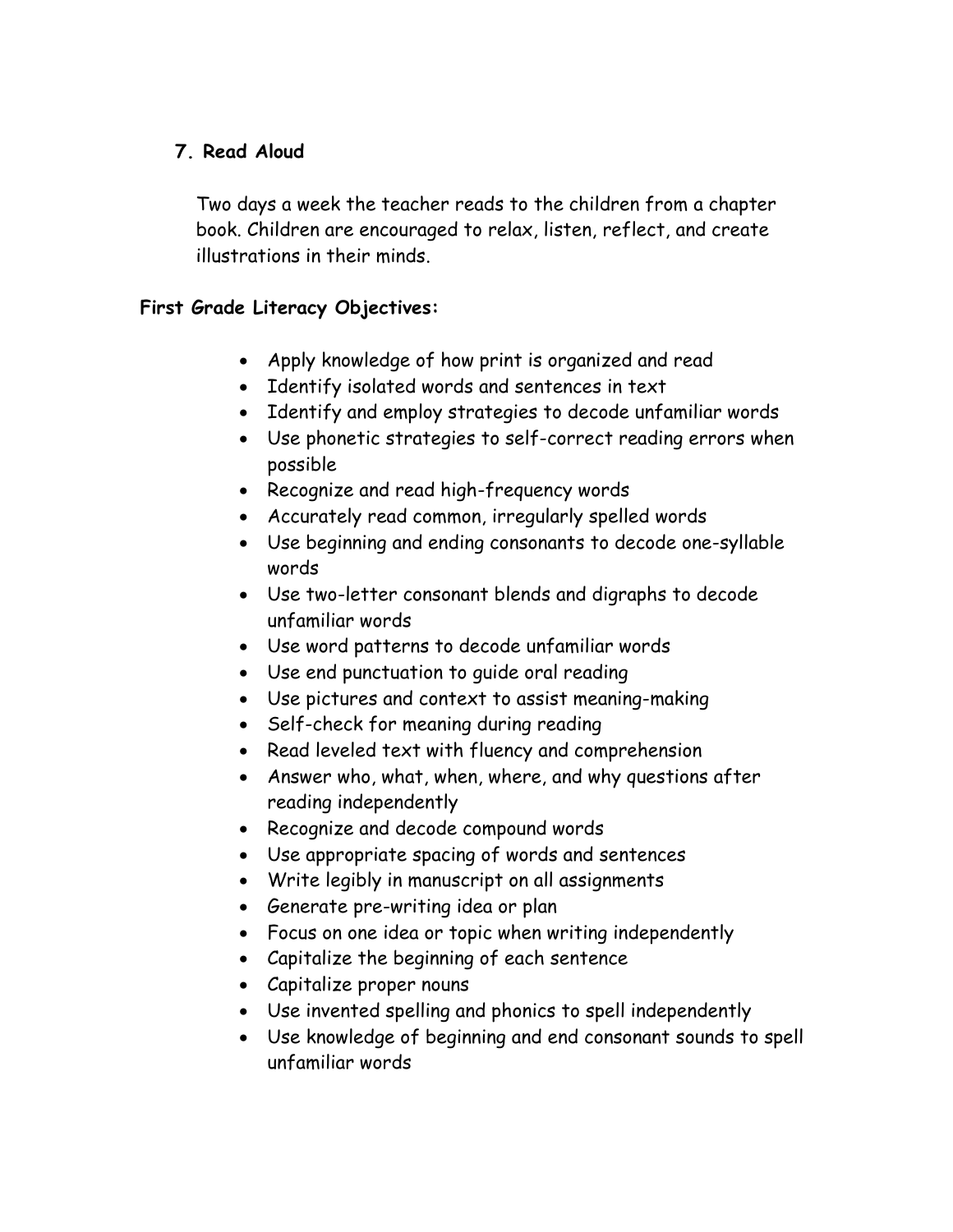### **7. Read Aloud**

Two days a week the teacher reads to the children from a chapter book. Children are encouraged to relax, listen, reflect, and create illustrations in their minds.

### **First Grade Literacy Objectives:**

- Apply knowledge of how print is organized and read
- Identify isolated words and sentences in text
- Identify and employ strategies to decode unfamiliar words
- Use phonetic strategies to self-correct reading errors when possible
- Recognize and read high-frequency words
- Accurately read common, irregularly spelled words
- Use beginning and ending consonants to decode one-syllable words
- Use two-letter consonant blends and digraphs to decode unfamiliar words
- Use word patterns to decode unfamiliar words
- Use end punctuation to guide oral reading
- Use pictures and context to assist meaning-making
- Self-check for meaning during reading
- Read leveled text with fluency and comprehension
- Answer who, what, when, where, and why questions after reading independently
- Recognize and decode compound words
- Use appropriate spacing of words and sentences
- Write legibly in manuscript on all assignments
- Generate pre-writing idea or plan
- Focus on one idea or topic when writing independently
- Capitalize the beginning of each sentence
- Capitalize proper nouns
- Use invented spelling and phonics to spell independently
- Use knowledge of beginning and end consonant sounds to spell unfamiliar words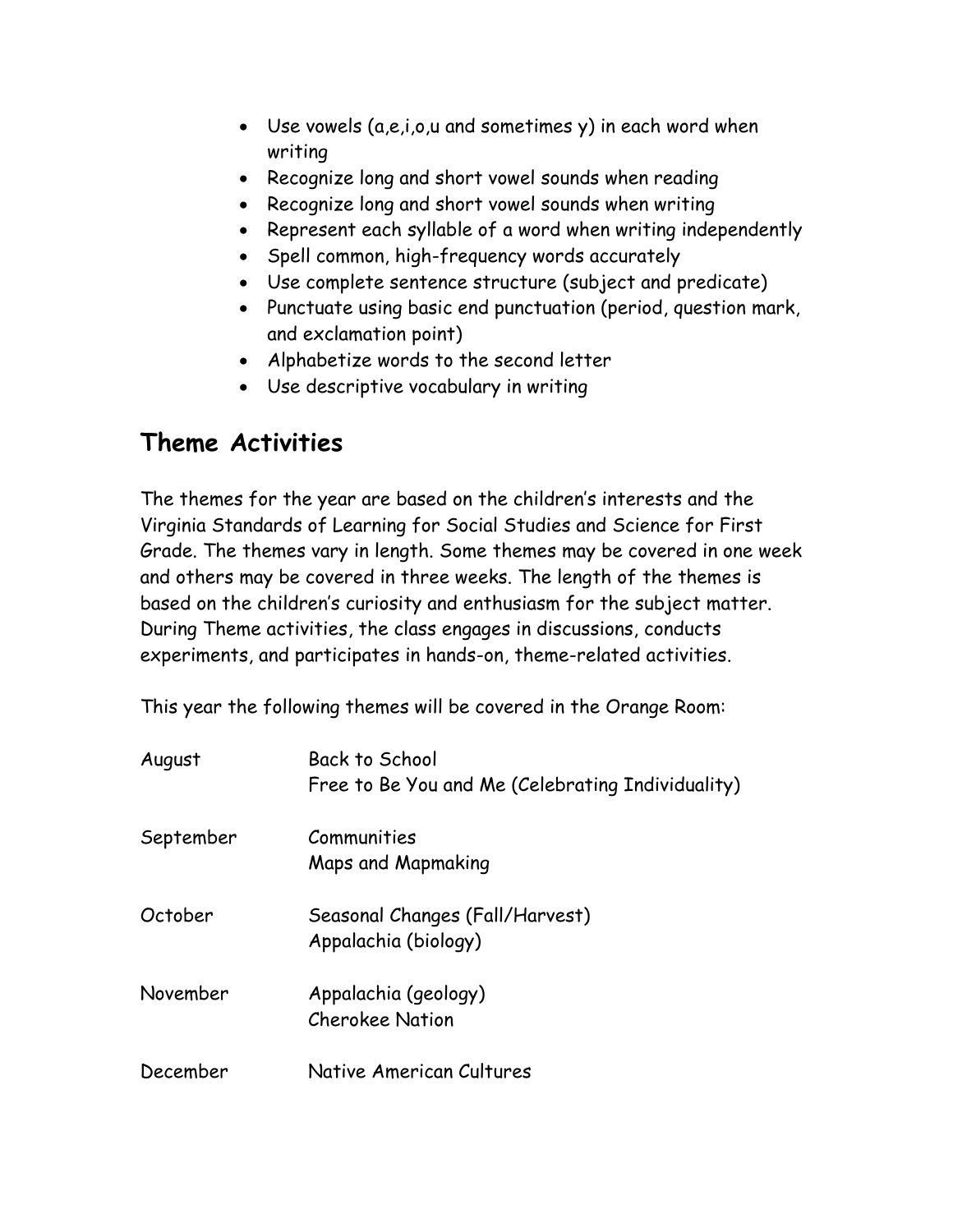- Use vowels (a,e,i,o,u and sometimes y) in each word when writing
- Recognize long and short vowel sounds when reading
- Recognize long and short vowel sounds when writing
- Represent each syllable of a word when writing independently
- Spell common, high-frequency words accurately
- Use complete sentence structure (subject and predicate)
- Punctuate using basic end punctuation (period, question mark, and exclamation point)
- Alphabetize words to the second letter
- Use descriptive vocabulary in writing

# **Theme Activities**

The themes for the year are based on the children's interests and the Virginia Standards of Learning for Social Studies and Science for First Grade. The themes vary in length. Some themes may be covered in one week and others may be covered in three weeks. The length of the themes is based on the children's curiosity and enthusiasm for the subject matter. During Theme activities, the class engages in discussions, conducts experiments, and participates in hands-on, theme-related activities.

This year the following themes will be covered in the Orange Room:

| August    | Back to School<br>Free to Be You and Me (Celebrating Individuality) |
|-----------|---------------------------------------------------------------------|
| September | Communities<br>Maps and Mapmaking                                   |
| October   | Seasonal Changes (Fall/Harvest)<br>Appalachia (biology)             |
| November  | Appalachia (geology)<br><b>Cherokee Nation</b>                      |
| December  | Native American Cultures                                            |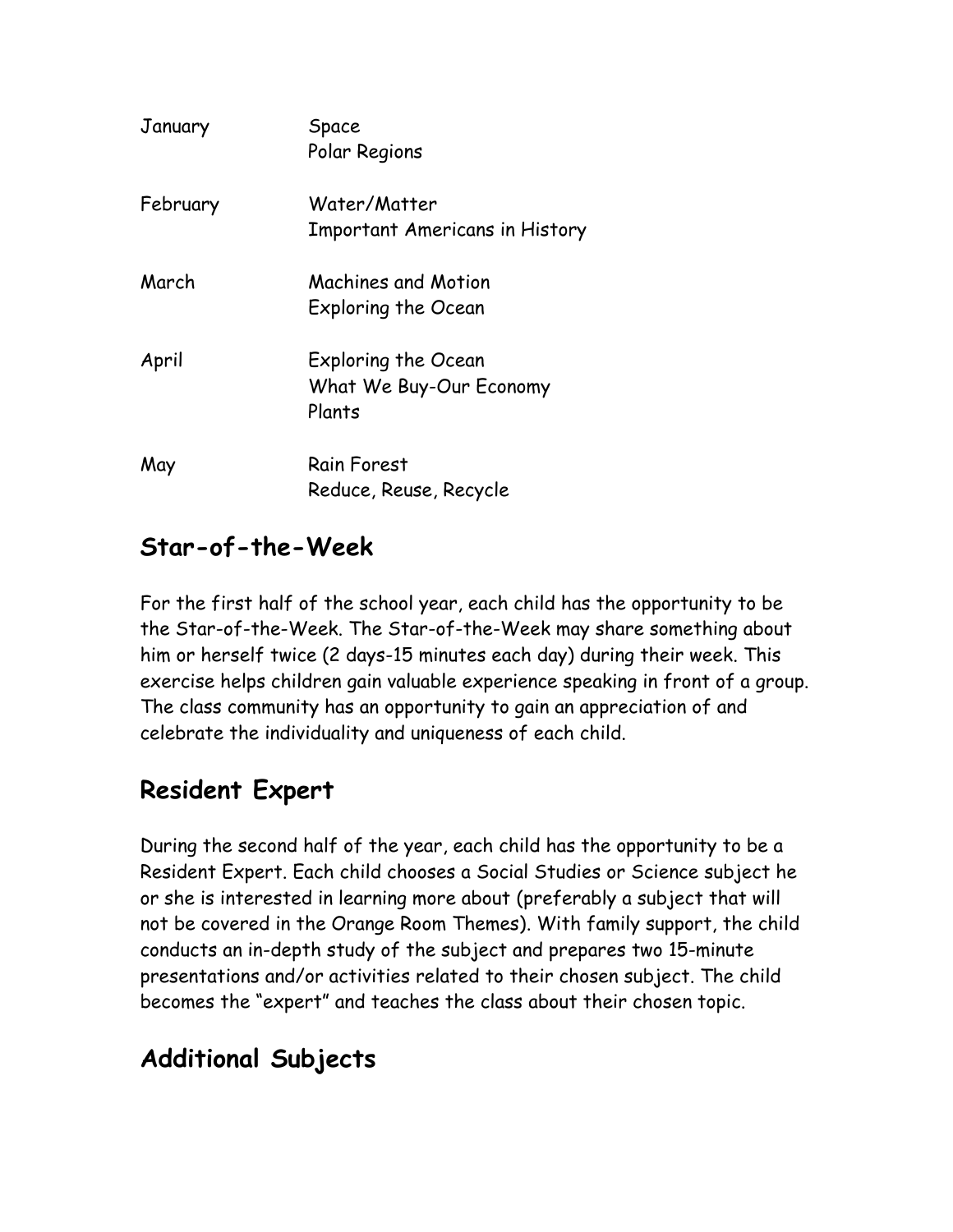| January  | Space<br>Polar Regions                                   |
|----------|----------------------------------------------------------|
| February | Water/Matter<br><b>Important Americans in History</b>    |
| March    | Machines and Motion<br>Exploring the Ocean               |
| April    | Exploring the Ocean<br>What We Buy-Our Economy<br>Plants |
| May      | Rain Forest<br>Reduce, Reuse, Recycle                    |

## **Star-of-the-Week**

For the first half of the school year, each child has the opportunity to be the Star-of-the-Week. The Star-of-the-Week may share something about him or herself twice (2 days-15 minutes each day) during their week. This exercise helps children gain valuable experience speaking in front of a group. The class community has an opportunity to gain an appreciation of and celebrate the individuality and uniqueness of each child.

# **Resident Expert**

During the second half of the year, each child has the opportunity to be a Resident Expert. Each child chooses a Social Studies or Science subject he or she is interested in learning more about (preferably a subject that will not be covered in the Orange Room Themes). With family support, the child conducts an in-depth study of the subject and prepares two 15-minute presentations and/or activities related to their chosen subject. The child becomes the "expert" and teaches the class about their chosen topic.

# **Additional Subjects**